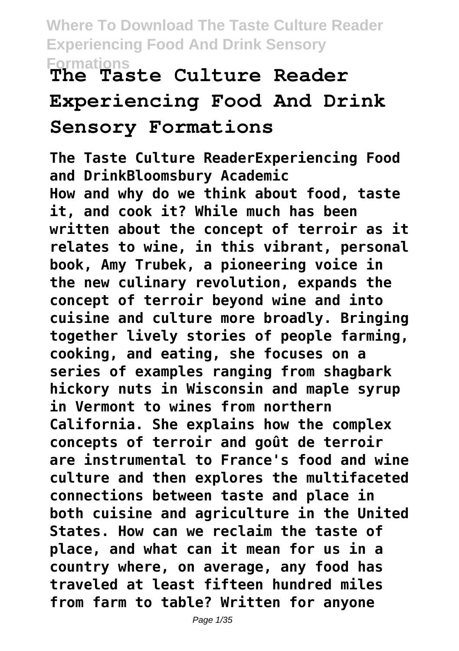# **Formations The Taste Culture Reader**

# **Experiencing Food And Drink Sensory Formations**

**The Taste Culture ReaderExperiencing Food and DrinkBloomsbury Academic How and why do we think about food, taste it, and cook it? While much has been written about the concept of terroir as it relates to wine, in this vibrant, personal book, Amy Trubek, a pioneering voice in the new culinary revolution, expands the concept of terroir beyond wine and into cuisine and culture more broadly. Bringing together lively stories of people farming, cooking, and eating, she focuses on a series of examples ranging from shagbark hickory nuts in Wisconsin and maple syrup in Vermont to wines from northern California. She explains how the complex concepts of terroir and goût de terroir are instrumental to France's food and wine culture and then explores the multifaceted connections between taste and place in both cuisine and agriculture in the United States. How can we reclaim the taste of place, and what can it mean for us in a country where, on average, any food has traveled at least fifteen hundred miles from farm to table? Written for anyone**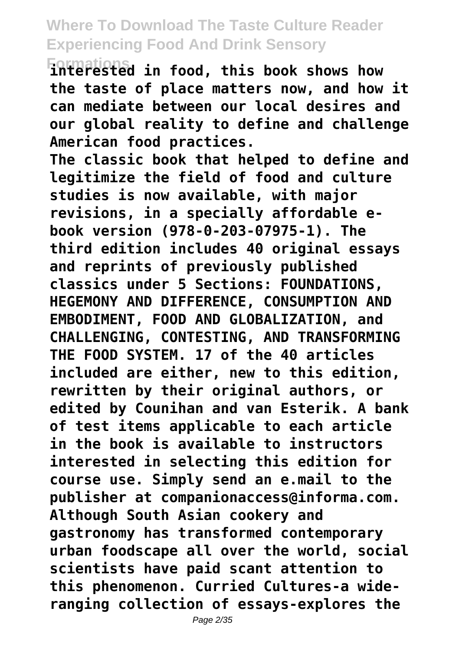**Formations interested in food, this book shows how the taste of place matters now, and how it can mediate between our local desires and our global reality to define and challenge American food practices.**

**The classic book that helped to define and legitimize the field of food and culture studies is now available, with major revisions, in a specially affordable ebook version (978-0-203-07975-1). The third edition includes 40 original essays and reprints of previously published classics under 5 Sections: FOUNDATIONS, HEGEMONY AND DIFFERENCE, CONSUMPTION AND EMBODIMENT, FOOD AND GLOBALIZATION, and CHALLENGING, CONTESTING, AND TRANSFORMING THE FOOD SYSTEM. 17 of the 40 articles included are either, new to this edition, rewritten by their original authors, or edited by Counihan and van Esterik. A bank of test items applicable to each article in the book is available to instructors interested in selecting this edition for course use. Simply send an e.mail to the publisher at companionaccess@informa.com. Although South Asian cookery and gastronomy has transformed contemporary urban foodscape all over the world, social scientists have paid scant attention to this phenomenon. Curried Cultures-a wideranging collection of essays-explores the**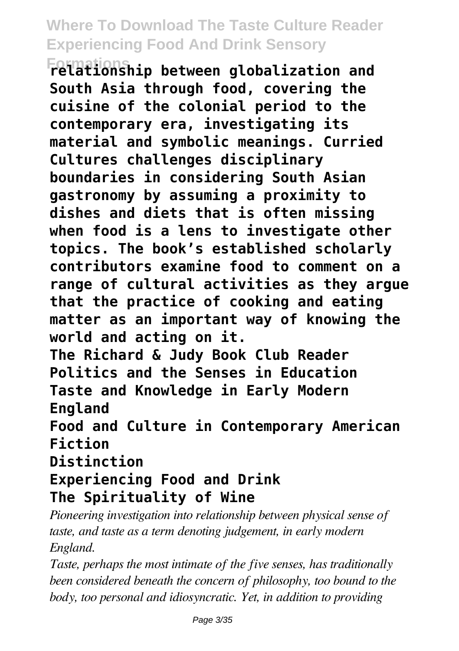**Formations relationship between globalization and South Asia through food, covering the cuisine of the colonial period to the contemporary era, investigating its material and symbolic meanings. Curried Cultures challenges disciplinary boundaries in considering South Asian gastronomy by assuming a proximity to dishes and diets that is often missing when food is a lens to investigate other topics. The book's established scholarly contributors examine food to comment on a range of cultural activities as they argue that the practice of cooking and eating matter as an important way of knowing the world and acting on it.**

**The Richard & Judy Book Club Reader Politics and the Senses in Education Taste and Knowledge in Early Modern England**

**Food and Culture in Contemporary American Fiction**

**Distinction**

### **Experiencing Food and Drink The Spirituality of Wine**

*Pioneering investigation into relationship between physical sense of taste, and taste as a term denoting judgement, in early modern England.*

*Taste, perhaps the most intimate of the five senses, has traditionally been considered beneath the concern of philosophy, too bound to the body, too personal and idiosyncratic. Yet, in addition to providing*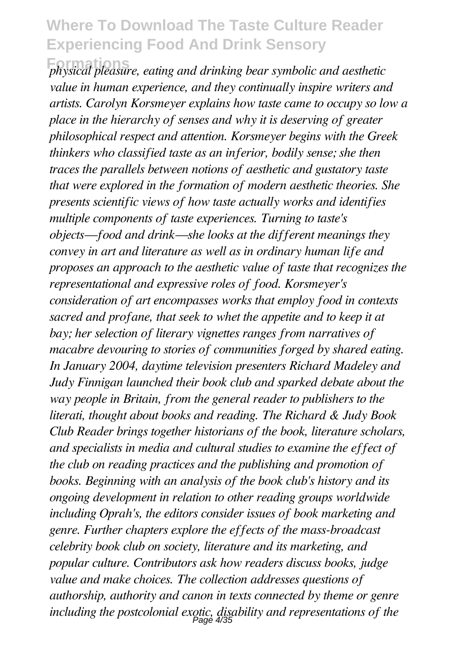**Formations** *physical pleasure, eating and drinking bear symbolic and aesthetic value in human experience, and they continually inspire writers and artists. Carolyn Korsmeyer explains how taste came to occupy so low a place in the hierarchy of senses and why it is deserving of greater philosophical respect and attention. Korsmeyer begins with the Greek thinkers who classified taste as an inferior, bodily sense; she then traces the parallels between notions of aesthetic and gustatory taste that were explored in the formation of modern aesthetic theories. She presents scientific views of how taste actually works and identifies multiple components of taste experiences. Turning to taste's objects—food and drink—she looks at the different meanings they convey in art and literature as well as in ordinary human life and proposes an approach to the aesthetic value of taste that recognizes the representational and expressive roles of food. Korsmeyer's consideration of art encompasses works that employ food in contexts sacred and profane, that seek to whet the appetite and to keep it at bay; her selection of literary vignettes ranges from narratives of macabre devouring to stories of communities forged by shared eating. In January 2004, daytime television presenters Richard Madeley and Judy Finnigan launched their book club and sparked debate about the way people in Britain, from the general reader to publishers to the literati, thought about books and reading. The Richard & Judy Book Club Reader brings together historians of the book, literature scholars, and specialists in media and cultural studies to examine the effect of the club on reading practices and the publishing and promotion of books. Beginning with an analysis of the book club's history and its ongoing development in relation to other reading groups worldwide including Oprah's, the editors consider issues of book marketing and genre. Further chapters explore the effects of the mass-broadcast celebrity book club on society, literature and its marketing, and popular culture. Contributors ask how readers discuss books, judge value and make choices. The collection addresses questions of authorship, authority and canon in texts connected by theme or genre including the postcolonial exotic, disability and representations of the* Page 4/35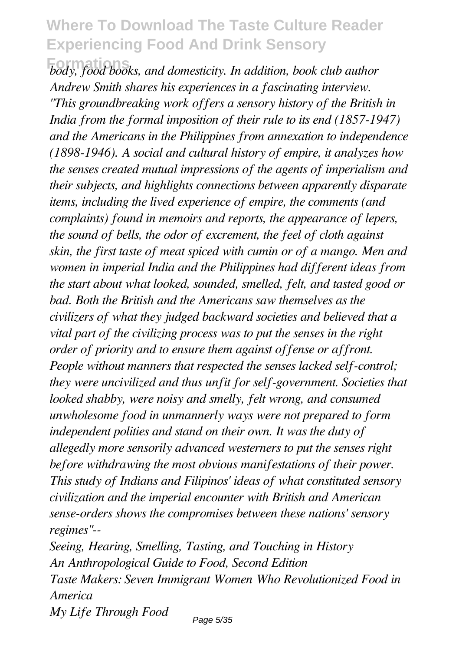$\overline{b}$ *body, food books, and domesticity. In addition, book club author Andrew Smith shares his experiences in a fascinating interview. "This groundbreaking work offers a sensory history of the British in India from the formal imposition of their rule to its end (1857-1947) and the Americans in the Philippines from annexation to independence (1898-1946). A social and cultural history of empire, it analyzes how the senses created mutual impressions of the agents of imperialism and their subjects, and highlights connections between apparently disparate items, including the lived experience of empire, the comments (and complaints) found in memoirs and reports, the appearance of lepers, the sound of bells, the odor of excrement, the feel of cloth against skin, the first taste of meat spiced with cumin or of a mango. Men and women in imperial India and the Philippines had different ideas from the start about what looked, sounded, smelled, felt, and tasted good or bad. Both the British and the Americans saw themselves as the civilizers of what they judged backward societies and believed that a vital part of the civilizing process was to put the senses in the right order of priority and to ensure them against offense or affront. People without manners that respected the senses lacked self-control; they were uncivilized and thus unfit for self-government. Societies that looked shabby, were noisy and smelly, felt wrong, and consumed unwholesome food in unmannerly ways were not prepared to form independent polities and stand on their own. It was the duty of allegedly more sensorily advanced westerners to put the senses right before withdrawing the most obvious manifestations of their power. This study of Indians and Filipinos' ideas of what constituted sensory civilization and the imperial encounter with British and American sense-orders shows the compromises between these nations' sensory regimes"--*

*Seeing, Hearing, Smelling, Tasting, and Touching in History An Anthropological Guide to Food, Second Edition Taste Makers: Seven Immigrant Women Who Revolutionized Food in America My Life Through Food*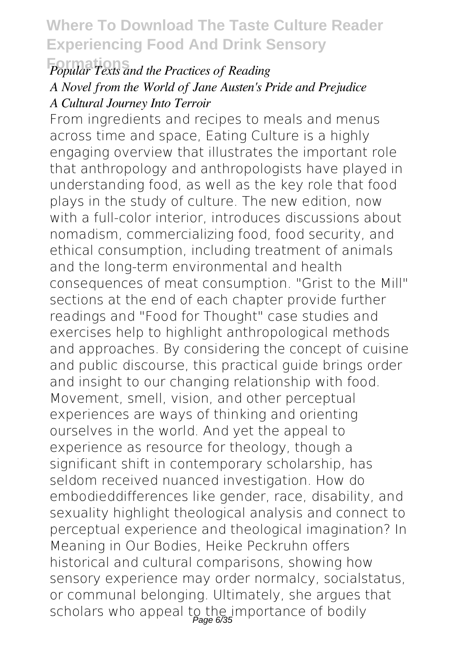### **Formations** *Popular Texts and the Practices of Reading A Novel from the World of Jane Austen's Pride and Prejudice A Cultural Journey Into Terroir*

From ingredients and recipes to meals and menus across time and space, Eating Culture is a highly engaging overview that illustrates the important role that anthropology and anthropologists have played in understanding food, as well as the key role that food plays in the study of culture. The new edition, now with a full-color interior, introduces discussions about nomadism, commercializing food, food security, and ethical consumption, including treatment of animals and the long-term environmental and health consequences of meat consumption. "Grist to the Mill" sections at the end of each chapter provide further readings and "Food for Thought" case studies and exercises help to highlight anthropological methods and approaches. By considering the concept of cuisine and public discourse, this practical guide brings order and insight to our changing relationship with food. Movement, smell, vision, and other perceptual experiences are ways of thinking and orienting ourselves in the world. And yet the appeal to experience as resource for theology, though a significant shift in contemporary scholarship, has seldom received nuanced investigation. How do embodieddifferences like gender, race, disability, and sexuality highlight theological analysis and connect to perceptual experience and theological imagination? In Meaning in Our Bodies, Heike Peckruhn offers historical and cultural comparisons, showing how sensory experience may order normalcy, socialstatus, or communal belonging. Ultimately, she argues that scholars who appeal to the importance of bodily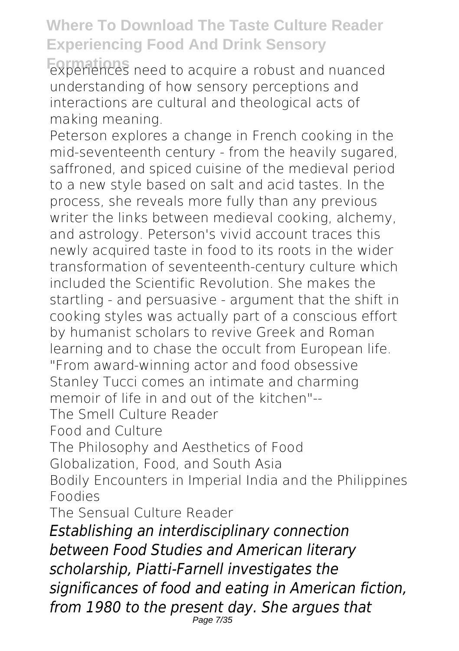**Formations** experiences need to acquire a robust and nuanced understanding of how sensory perceptions and interactions are cultural and theological acts of making meaning.

Peterson explores a change in French cooking in the mid-seventeenth century - from the heavily sugared, saffroned, and spiced cuisine of the medieval period to a new style based on salt and acid tastes. In the process, she reveals more fully than any previous writer the links between medieval cooking, alchemy, and astrology. Peterson's vivid account traces this newly acquired taste in food to its roots in the wider transformation of seventeenth-century culture which included the Scientific Revolution. She makes the startling - and persuasive - argument that the shift in cooking styles was actually part of a conscious effort by humanist scholars to revive Greek and Roman learning and to chase the occult from European life. "From award-winning actor and food obsessive Stanley Tucci comes an intimate and charming memoir of life in and out of the kitchen"-- The Smell Culture Reader Food and Culture The Philosophy and Aesthetics of Food Globalization, Food, and South Asia

Bodily Encounters in Imperial India and the Philippines Foodies

The Sensual Culture Reader

*Establishing an interdisciplinary connection between Food Studies and American literary scholarship, Piatti-Farnell investigates the significances of food and eating in American fiction, from 1980 to the present day. She argues that* Page 7/35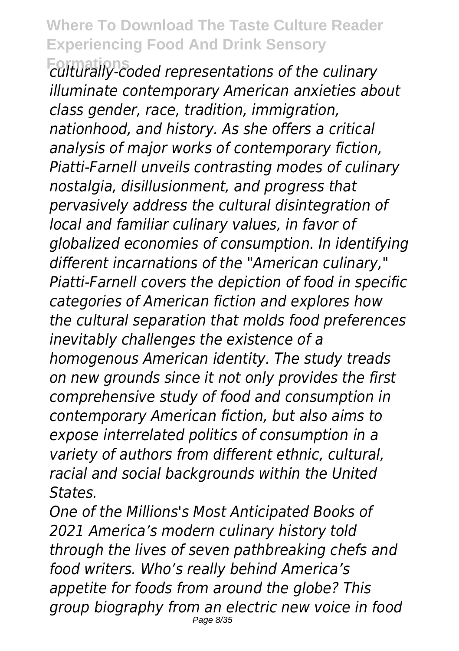**Formations** *culturally-coded representations of the culinary illuminate contemporary American anxieties about class gender, race, tradition, immigration, nationhood, and history. As she offers a critical analysis of major works of contemporary fiction, Piatti-Farnell unveils contrasting modes of culinary nostalgia, disillusionment, and progress that pervasively address the cultural disintegration of local and familiar culinary values, in favor of globalized economies of consumption. In identifying different incarnations of the "American culinary," Piatti-Farnell covers the depiction of food in specific categories of American fiction and explores how the cultural separation that molds food preferences inevitably challenges the existence of a homogenous American identity. The study treads on new grounds since it not only provides the first comprehensive study of food and consumption in contemporary American fiction, but also aims to expose interrelated politics of consumption in a variety of authors from different ethnic, cultural, racial and social backgrounds within the United States.*

*One of the Millions's Most Anticipated Books of 2021 America's modern culinary history told through the lives of seven pathbreaking chefs and food writers. Who's really behind America's appetite for foods from around the globe? This group biography from an electric new voice in food* Page 8/35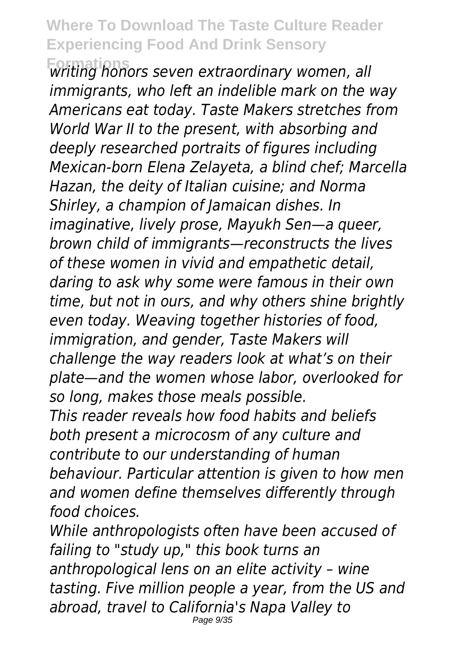**Formations** *writing honors seven extraordinary women, all immigrants, who left an indelible mark on the way Americans eat today. Taste Makers stretches from World War II to the present, with absorbing and deeply researched portraits of figures including Mexican-born Elena Zelayeta, a blind chef; Marcella Hazan, the deity of Italian cuisine; and Norma Shirley, a champion of Jamaican dishes. In imaginative, lively prose, Mayukh Sen—a queer, brown child of immigrants—reconstructs the lives of these women in vivid and empathetic detail, daring to ask why some were famous in their own time, but not in ours, and why others shine brightly even today. Weaving together histories of food, immigration, and gender, Taste Makers will challenge the way readers look at what's on their plate—and the women whose labor, overlooked for so long, makes those meals possible. This reader reveals how food habits and beliefs both present a microcosm of any culture and contribute to our understanding of human behaviour. Particular attention is given to how men and women define themselves differently through food choices.*

*While anthropologists often have been accused of failing to "study up," this book turns an anthropological lens on an elite activity – wine tasting. Five million people a year, from the US and abroad, travel to California's Napa Valley to* Page 9/35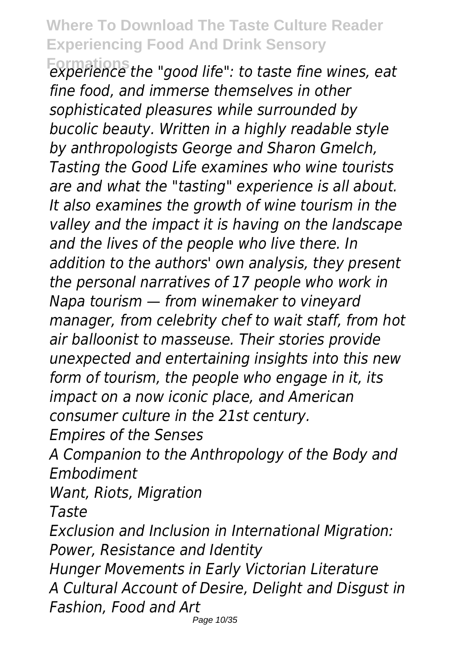**Formations** *experience the "good life": to taste fine wines, eat fine food, and immerse themselves in other sophisticated pleasures while surrounded by bucolic beauty. Written in a highly readable style by anthropologists George and Sharon Gmelch, Tasting the Good Life examines who wine tourists are and what the "tasting" experience is all about. It also examines the growth of wine tourism in the valley and the impact it is having on the landscape and the lives of the people who live there. In addition to the authors' own analysis, they present the personal narratives of 17 people who work in Napa tourism — from winemaker to vineyard manager, from celebrity chef to wait staff, from hot air balloonist to masseuse. Their stories provide unexpected and entertaining insights into this new form of tourism, the people who engage in it, its impact on a now iconic place, and American consumer culture in the 21st century.*

*Empires of the Senses*

*A Companion to the Anthropology of the Body and Embodiment*

*Want, Riots, Migration*

*Taste*

*Exclusion and Inclusion in International Migration: Power, Resistance and Identity*

*Hunger Movements in Early Victorian Literature A Cultural Account of Desire, Delight and Disgust in Fashion, Food and Art*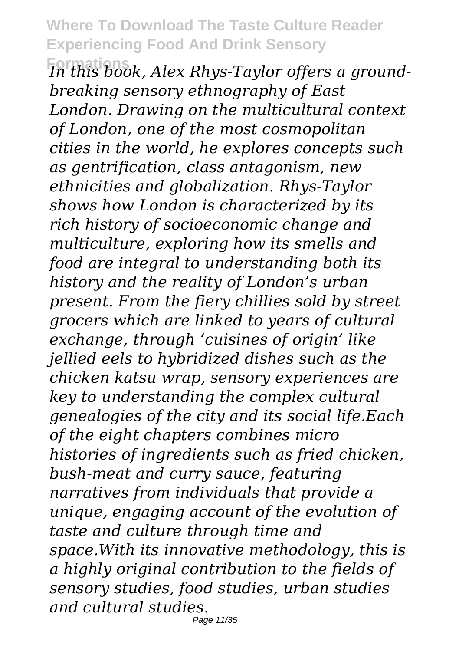**Formations** *In this book, Alex Rhys-Taylor offers a groundbreaking sensory ethnography of East London. Drawing on the multicultural context of London, one of the most cosmopolitan cities in the world, he explores concepts such as gentrification, class antagonism, new ethnicities and globalization. Rhys-Taylor shows how London is characterized by its rich history of socioeconomic change and multiculture, exploring how its smells and food are integral to understanding both its history and the reality of London's urban present. From the fiery chillies sold by street grocers which are linked to years of cultural exchange, through 'cuisines of origin' like jellied eels to hybridized dishes such as the chicken katsu wrap, sensory experiences are key to understanding the complex cultural genealogies of the city and its social life.Each of the eight chapters combines micro histories of ingredients such as fried chicken, bush-meat and curry sauce, featuring narratives from individuals that provide a unique, engaging account of the evolution of taste and culture through time and space.With its innovative methodology, this is a highly original contribution to the fields of sensory studies, food studies, urban studies and cultural studies.*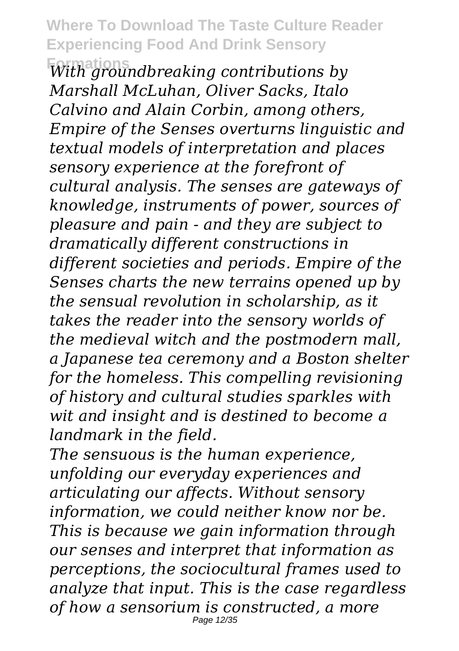**Formations** *With groundbreaking contributions by Marshall McLuhan, Oliver Sacks, Italo Calvino and Alain Corbin, among others, Empire of the Senses overturns linguistic and textual models of interpretation and places sensory experience at the forefront of cultural analysis. The senses are gateways of knowledge, instruments of power, sources of pleasure and pain - and they are subject to dramatically different constructions in different societies and periods. Empire of the Senses charts the new terrains opened up by the sensual revolution in scholarship, as it takes the reader into the sensory worlds of the medieval witch and the postmodern mall, a Japanese tea ceremony and a Boston shelter for the homeless. This compelling revisioning of history and cultural studies sparkles with wit and insight and is destined to become a landmark in the field.*

*The sensuous is the human experience, unfolding our everyday experiences and articulating our affects. Without sensory information, we could neither know nor be. This is because we gain information through our senses and interpret that information as perceptions, the sociocultural frames used to analyze that input. This is the case regardless of how a sensorium is constructed, a more* Page 12/35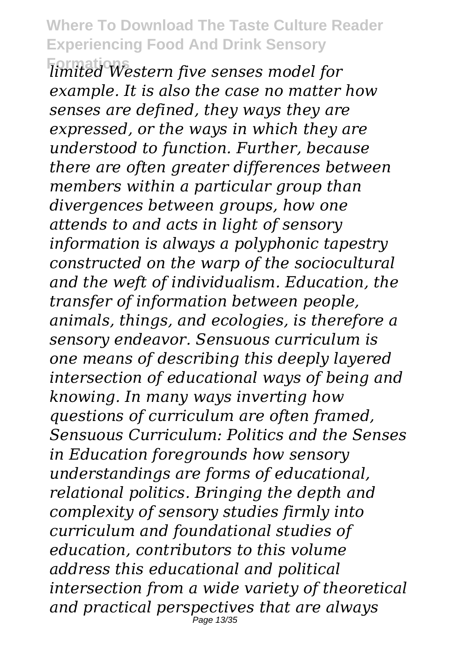**Formations** *limited Western five senses model for example. It is also the case no matter how senses are defined, they ways they are expressed, or the ways in which they are understood to function. Further, because there are often greater differences between members within a particular group than divergences between groups, how one attends to and acts in light of sensory information is always a polyphonic tapestry constructed on the warp of the sociocultural and the weft of individualism. Education, the transfer of information between people, animals, things, and ecologies, is therefore a sensory endeavor. Sensuous curriculum is one means of describing this deeply layered intersection of educational ways of being and knowing. In many ways inverting how questions of curriculum are often framed, Sensuous Curriculum: Politics and the Senses in Education foregrounds how sensory understandings are forms of educational, relational politics. Bringing the depth and complexity of sensory studies firmly into curriculum and foundational studies of education, contributors to this volume address this educational and political intersection from a wide variety of theoretical and practical perspectives that are always* Page 13/35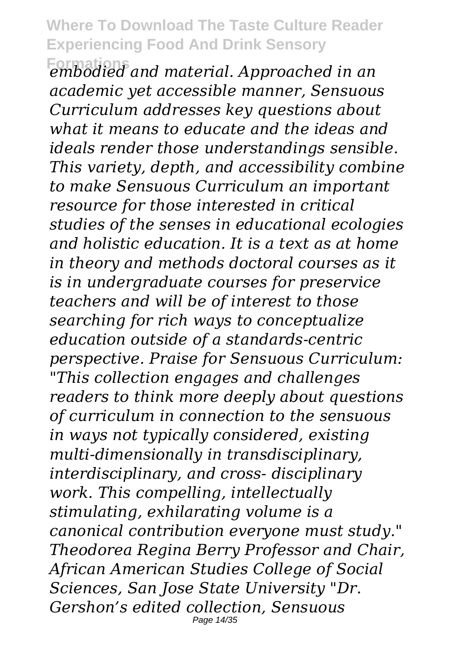**Formations** *embodied and material. Approached in an academic yet accessible manner, Sensuous Curriculum addresses key questions about what it means to educate and the ideas and ideals render those understandings sensible. This variety, depth, and accessibility combine to make Sensuous Curriculum an important resource for those interested in critical studies of the senses in educational ecologies and holistic education. It is a text as at home in theory and methods doctoral courses as it is in undergraduate courses for preservice teachers and will be of interest to those searching for rich ways to conceptualize education outside of a standards-centric perspective. Praise for Sensuous Curriculum: "This collection engages and challenges readers to think more deeply about questions of curriculum in connection to the sensuous in ways not typically considered, existing multi-dimensionally in transdisciplinary, interdisciplinary, and cross- disciplinary work. This compelling, intellectually stimulating, exhilarating volume is a canonical contribution everyone must study." Theodorea Regina Berry Professor and Chair, African American Studies College of Social Sciences, San Jose State University "Dr. Gershon's edited collection, Sensuous* Page 14/35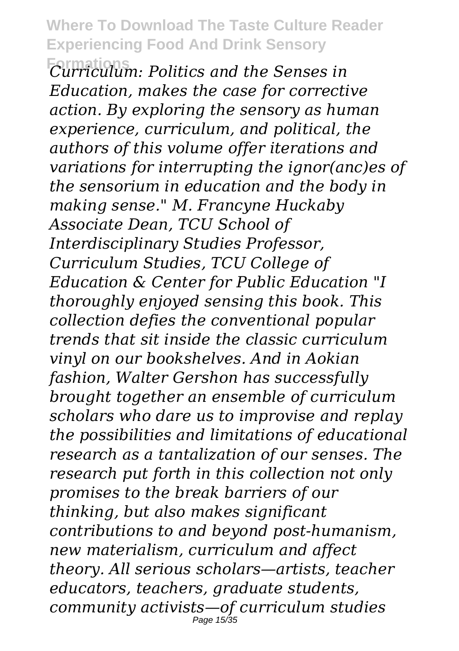**Formations** *Curriculum: Politics and the Senses in Education, makes the case for corrective action. By exploring the sensory as human experience, curriculum, and political, the authors of this volume offer iterations and variations for interrupting the ignor(anc)es of the sensorium in education and the body in making sense." M. Francyne Huckaby Associate Dean, TCU School of Interdisciplinary Studies Professor, Curriculum Studies, TCU College of Education & Center for Public Education "I thoroughly enjoyed sensing this book. This collection defies the conventional popular trends that sit inside the classic curriculum vinyl on our bookshelves. And in Aokian fashion, Walter Gershon has successfully brought together an ensemble of curriculum scholars who dare us to improvise and replay the possibilities and limitations of educational research as a tantalization of our senses. The research put forth in this collection not only promises to the break barriers of our thinking, but also makes significant contributions to and beyond post-humanism, new materialism, curriculum and affect theory. All serious scholars—artists, teacher educators, teachers, graduate students, community activists—of curriculum studies* Page 15/35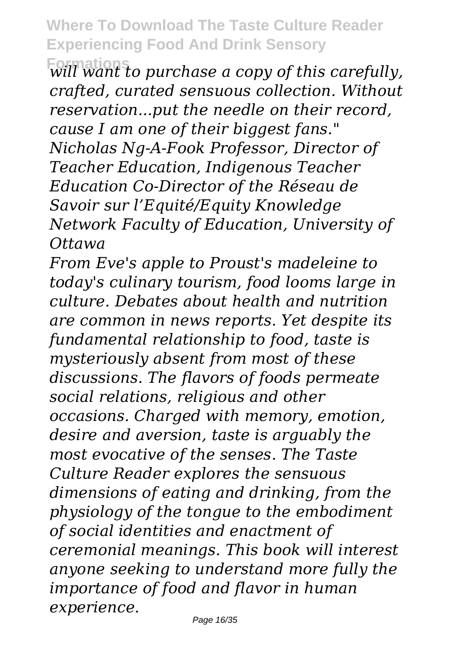**Formations** *will want to purchase a copy of this carefully, crafted, curated sensuous collection. Without reservation...put the needle on their record, cause I am one of their biggest fans." Nicholas Ng-A-Fook Professor, Director of Teacher Education, Indigenous Teacher Education Co-Director of the Réseau de Savoir sur l'Equité/Equity Knowledge Network Faculty of Education, University of Ottawa*

*From Eve's apple to Proust's madeleine to today's culinary tourism, food looms large in culture. Debates about health and nutrition are common in news reports. Yet despite its fundamental relationship to food, taste is mysteriously absent from most of these discussions. The flavors of foods permeate social relations, religious and other occasions. Charged with memory, emotion, desire and aversion, taste is arguably the most evocative of the senses. The Taste Culture Reader explores the sensuous dimensions of eating and drinking, from the physiology of the tongue to the embodiment of social identities and enactment of ceremonial meanings. This book will interest anyone seeking to understand more fully the importance of food and flavor in human experience.*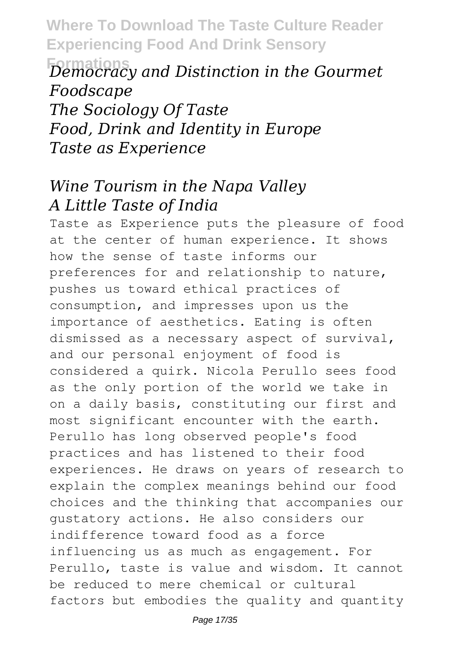**Formations** *Democracy and Distinction in the Gourmet Foodscape The Sociology Of Taste Food, Drink and Identity in Europe Taste as Experience*

### *Wine Tourism in the Napa Valley A Little Taste of India*

Taste as Experience puts the pleasure of food at the center of human experience. It shows how the sense of taste informs our preferences for and relationship to nature, pushes us toward ethical practices of consumption, and impresses upon us the importance of aesthetics. Eating is often dismissed as a necessary aspect of survival, and our personal enjoyment of food is considered a quirk. Nicola Perullo sees food as the only portion of the world we take in on a daily basis, constituting our first and most significant encounter with the earth. Perullo has long observed people's food practices and has listened to their food experiences. He draws on years of research to explain the complex meanings behind our food choices and the thinking that accompanies our gustatory actions. He also considers our indifference toward food as a force influencing us as much as engagement. For Perullo, taste is value and wisdom. It cannot be reduced to mere chemical or cultural factors but embodies the quality and quantity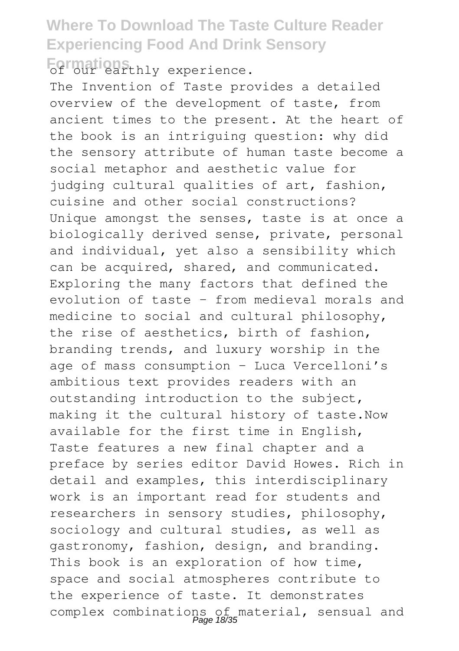**Formations** experience.

The Invention of Taste provides a detailed overview of the development of taste, from ancient times to the present. At the heart of the book is an intriguing question: why did the sensory attribute of human taste become a social metaphor and aesthetic value for judging cultural qualities of art, fashion, cuisine and other social constructions? Unique amongst the senses, taste is at once a biologically derived sense, private, personal and individual, yet also a sensibility which can be acquired, shared, and communicated. Exploring the many factors that defined the evolution of taste – from medieval morals and medicine to social and cultural philosophy, the rise of aesthetics, birth of fashion, branding trends, and luxury worship in the age of mass consumption – Luca Vercelloni's ambitious text provides readers with an outstanding introduction to the subject, making it the cultural history of taste.Now available for the first time in English, Taste features a new final chapter and a preface by series editor David Howes. Rich in detail and examples, this interdisciplinary work is an important read for students and researchers in sensory studies, philosophy, sociology and cultural studies, as well as gastronomy, fashion, design, and branding. This book is an exploration of how time, space and social atmospheres contribute to the experience of taste. It demonstrates complex combinations of material, sensual and Page 18/35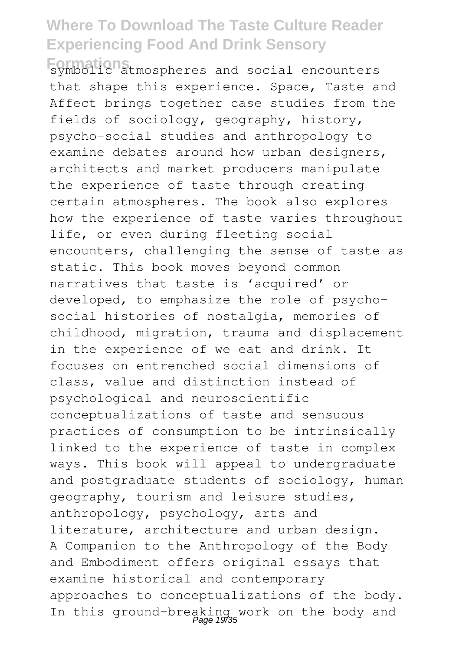**Formations** symbolic atmospheres and social encounters that shape this experience. Space, Taste and Affect brings together case studies from the fields of sociology, geography, history, psycho-social studies and anthropology to examine debates around how urban designers, architects and market producers manipulate the experience of taste through creating certain atmospheres. The book also explores how the experience of taste varies throughout life, or even during fleeting social encounters, challenging the sense of taste as static. This book moves beyond common narratives that taste is 'acquired' or developed, to emphasize the role of psychosocial histories of nostalgia, memories of childhood, migration, trauma and displacement in the experience of we eat and drink. It focuses on entrenched social dimensions of class, value and distinction instead of psychological and neuroscientific conceptualizations of taste and sensuous practices of consumption to be intrinsically linked to the experience of taste in complex ways. This book will appeal to undergraduate and postgraduate students of sociology, human geography, tourism and leisure studies, anthropology, psychology, arts and literature, architecture and urban design. A Companion to the Anthropology of the Body and Embodiment offers original essays that examine historical and contemporary approaches to conceptualizations of the body. In this ground-breaking work on the body and Page 19/35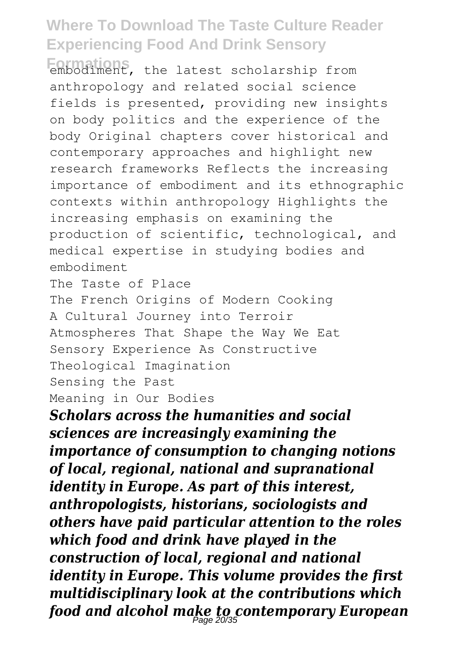embodiment, the latest scholarship from anthropology and related social science fields is presented, providing new insights on body politics and the experience of the body Original chapters cover historical and contemporary approaches and highlight new research frameworks Reflects the increasing importance of embodiment and its ethnographic contexts within anthropology Highlights the increasing emphasis on examining the production of scientific, technological, and medical expertise in studying bodies and embodiment

The Taste of Place

The French Origins of Modern Cooking A Cultural Journey into Terroir Atmospheres That Shape the Way We Eat Sensory Experience As Constructive Theological Imagination Sensing the Past Meaning in Our Bodies

*Scholars across the humanities and social sciences are increasingly examining the importance of consumption to changing notions of local, regional, national and supranational identity in Europe. As part of this interest, anthropologists, historians, sociologists and others have paid particular attention to the roles which food and drink have played in the construction of local, regional and national identity in Europe. This volume provides the first multidisciplinary look at the contributions which food and alcohol make to contemporary European* Page 20/35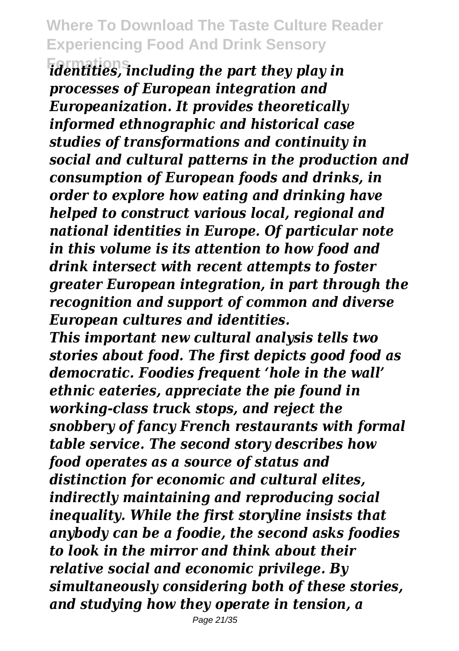**Formations** *identities, including the part they play in processes of European integration and Europeanization. It provides theoretically informed ethnographic and historical case studies of transformations and continuity in social and cultural patterns in the production and consumption of European foods and drinks, in order to explore how eating and drinking have helped to construct various local, regional and national identities in Europe. Of particular note in this volume is its attention to how food and drink intersect with recent attempts to foster greater European integration, in part through the recognition and support of common and diverse European cultures and identities.*

*This important new cultural analysis tells two stories about food. The first depicts good food as democratic. Foodies frequent 'hole in the wall' ethnic eateries, appreciate the pie found in working-class truck stops, and reject the snobbery of fancy French restaurants with formal table service. The second story describes how food operates as a source of status and distinction for economic and cultural elites, indirectly maintaining and reproducing social inequality. While the first storyline insists that anybody can be a foodie, the second asks foodies to look in the mirror and think about their relative social and economic privilege. By simultaneously considering both of these stories, and studying how they operate in tension, a*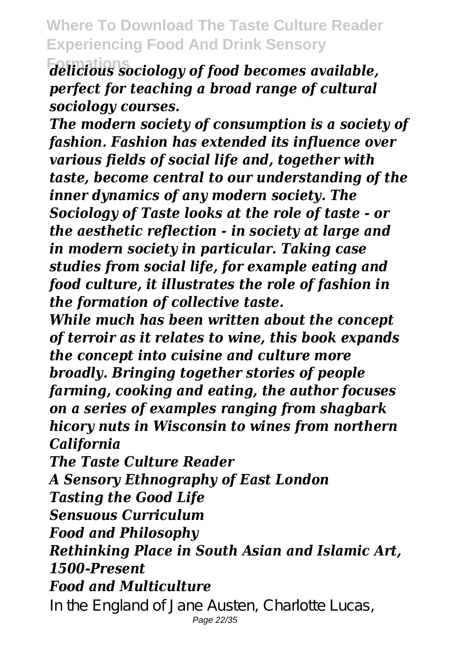**Formations** *delicious sociology of food becomes available, perfect for teaching a broad range of cultural sociology courses.*

*The modern society of consumption is a society of fashion. Fashion has extended its influence over various fields of social life and, together with taste, become central to our understanding of the inner dynamics of any modern society. The Sociology of Taste looks at the role of taste - or the aesthetic reflection - in society at large and in modern society in particular. Taking case studies from social life, for example eating and food culture, it illustrates the role of fashion in the formation of collective taste.*

*While much has been written about the concept of terroir as it relates to wine, this book expands the concept into cuisine and culture more broadly. Bringing together stories of people farming, cooking and eating, the author focuses on a series of examples ranging from shagbark hicory nuts in Wisconsin to wines from northern California*

*The Taste Culture Reader*

*A Sensory Ethnography of East London*

*Tasting the Good Life*

*Sensuous Curriculum*

*Food and Philosophy*

*Rethinking Place in South Asian and Islamic Art, 1500-Present*

*Food and Multiculture*

In the England of Jane Austen, Charlotte Lucas, Page 22/35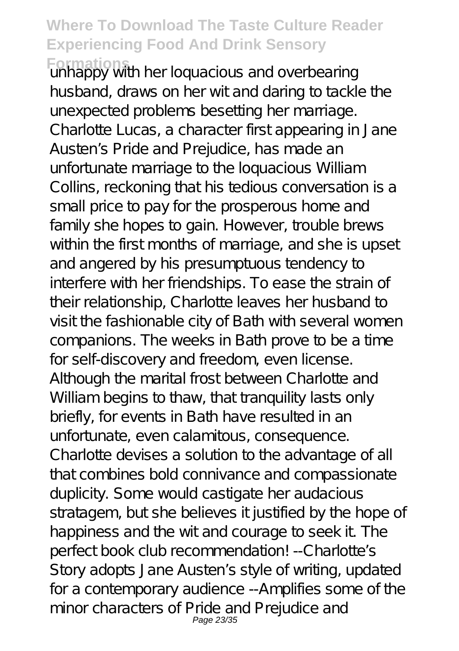**Formations** unhappy with her loquacious and overbearing husband, draws on her wit and daring to tackle the unexpected problems besetting her marriage. Charlotte Lucas, a character first appearing in Jane Austen's Pride and Prejudice, has made an unfortunate marriage to the loquacious William Collins, reckoning that his tedious conversation is a small price to pay for the prosperous home and family she hopes to gain. However, trouble brews within the first months of marriage, and she is upset and angered by his presumptuous tendency to interfere with her friendships. To ease the strain of their relationship, Charlotte leaves her husband to visit the fashionable city of Bath with several women companions. The weeks in Bath prove to be a time for self-discovery and freedom, even license. Although the marital frost between Charlotte and William begins to thaw, that tranquility lasts only briefly, for events in Bath have resulted in an unfortunate, even calamitous, consequence. Charlotte devises a solution to the advantage of all that combines bold connivance and compassionate duplicity. Some would castigate her audacious stratagem, but she believes it justified by the hope of happiness and the wit and courage to seek it. The perfect book club recommendation! -- Charlotte's Story adopts Jane Austen's style of writing, updated for a contemporary audience --Amplifies some of the minor characters of Pride and Prejudice and Page 23/35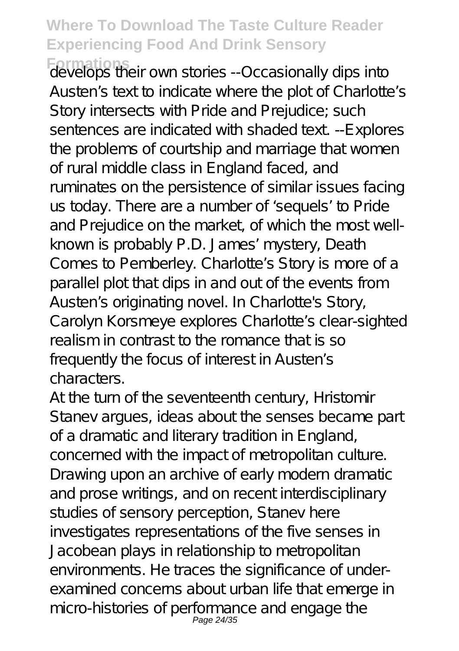**Formations** develops their own stories --Occasionally dips into Austen's text to indicate where the plot of Charlotte's Story intersects with Pride and Prejudice; such sentences are indicated with shaded text --Explores the problems of courtship and marriage that women of rural middle class in England faced, and ruminates on the persistence of similar issues facing us today. There are a number of 'sequels' to Pride and Prejudice on the market, of which the most wellknown is probably P.D. James' mystery, Death Comes to Pemberley. Charlotte's Story is more of a parallel plot that dips in and out of the events from Austen's originating novel. In Charlotte's Story, Carolyn Korsmeye explores Charlotte's clear-sighted realism in contrast to the romance that is so frequently the focus of interest in Austen's characters.

At the turn of the seventeenth century, Hristomir Stanev argues, ideas about the senses became part of a dramatic and literary tradition in England, concerned with the impact of metropolitan culture. Drawing upon an archive of early modern dramatic and prose writings, and on recent interdisciplinary studies of sensory perception, Stanev here investigates representations of the five senses in Jacobean plays in relationship to metropolitan environments. He traces the significance of underexamined concerns about urban life that emerge in micro-histories of performance and engage the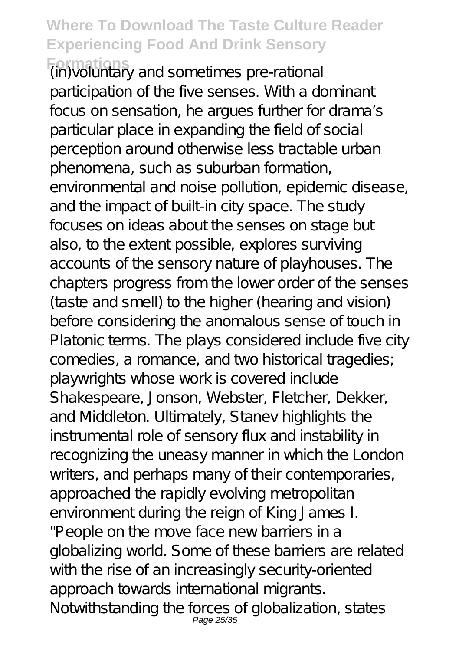**Formations** (in)voluntary and sometimes pre-rational participation of the five senses. With a dominant focus on sensation, he arques further for drama's particular place in expanding the field of social perception around otherwise less tractable urban phenomena, such as suburban formation, environmental and noise pollution, epidemic disease, and the impact of built-in city space. The study focuses on ideas about the senses on stage but also, to the extent possible, explores surviving accounts of the sensory nature of playhouses. The chapters progress from the lower order of the senses (taste and smell) to the higher (hearing and vision) before considering the anomalous sense of touch in Platonic terms. The plays considered include five city comedies, a romance, and two historical tragedies; playwrights whose work is covered include Shakespeare, Jonson, Webster, Fletcher, Dekker, and Middleton. Ultimately, Stanev highlights the instrumental role of sensory flux and instability in recognizing the uneasy manner in which the London writers, and perhaps many of their contemporaries, approached the rapidly evolving metropolitan environment during the reign of King James I. "People on the move face new barriers in a globalizing world. Some of these barriers are related with the rise of an increasingly security-oriented approach towards international migrants. Notwithstanding the forces of globalization, states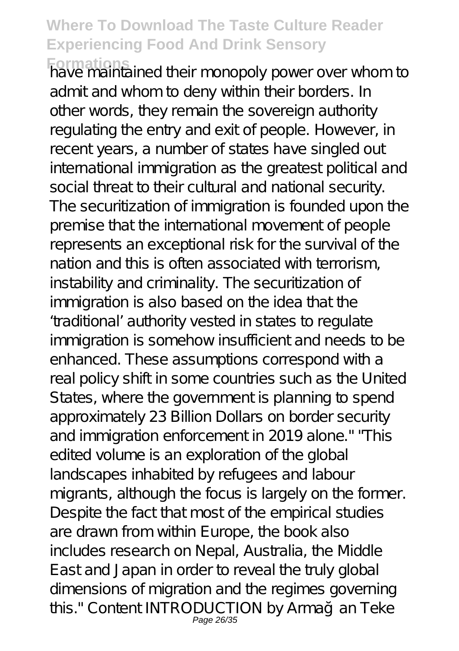**Formations** have maintained their monopoly power over whom to admit and whom to deny within their borders. In other words, they remain the sovereign authority regulating the entry and exit of people. However, in recent years, a number of states have singled out international immigration as the greatest political and social threat to their cultural and national security. The securitization of immigration is founded upon the premise that the international movement of people represents an exceptional risk for the survival of the nation and this is often associated with terrorism, instability and criminality. The securitization of immigration is also based on the idea that the 'traditional' authority vested in states to regulate immigration is somehow insufficient and needs to be

enhanced. These assumptions correspond with a real policy shift in some countries such as the United States, where the government is planning to spend approximately 23 Billion Dollars on border security and immigration enforcement in 2019 alone." "This edited volume is an exploration of the global landscapes inhabited by refugees and labour migrants, although the focus is largely on the former. Despite the fact that most of the empirical studies are drawn from within Europe, the book also includes research on Nepal, Australia, the Middle East and Japan in order to reveal the truly global dimensions of migration and the regimes governing this." Content INTRODUCTION by Arma an Teke Page 26/35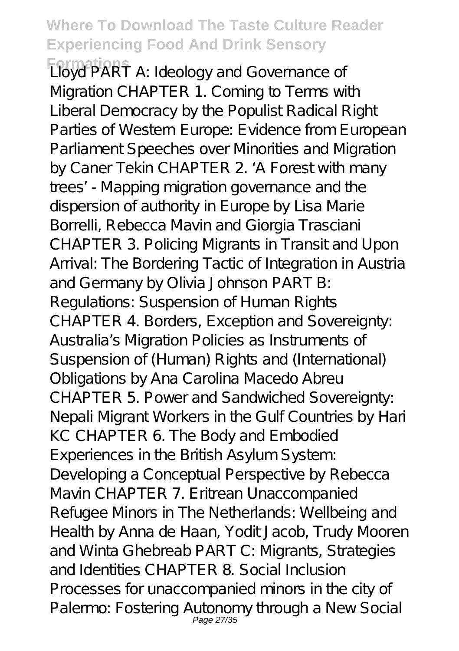**Formations** Lloyd PART A: Ideology and Governance of Migration CHAPTER 1. Coming to Terms with Liberal Democracy by the Populist Radical Right Parties of Western Europe: Evidence from European Parliament Speeches over Minorities and Migration by Caner Tekin CHAPTER 2. ' A Forest with many trees' - Mapping migration governance and the dispersion of authority in Europe by Lisa Marie Borrelli, Rebecca Mavin and Giorgia Trasciani CHAPTER 3. Policing Migrants in Transit and Upon Arrival: The Bordering Tactic of Integration in Austria and Germany by Olivia Johnson PART B: Regulations: Suspension of Human Rights CHAPTER 4. Borders, Exception and Sovereignty: Australia's Migration Policies as Instruments of Suspension of (Human) Rights and (International) Obligations by Ana Carolina Macedo Abreu CHAPTER 5. Power and Sandwiched Sovereignty: Nepali Migrant Workers in the Gulf Countries by Hari KC CHAPTER 6. The Body and Embodied Experiences in the British Asylum System: Developing a Conceptual Perspective by Rebecca Mavin CHAPTER 7. Eritrean Unaccompanied Refugee Minors in The Netherlands: Wellbeing and Health by Anna de Haan, Yodit Jacob, Trudy Mooren and Winta Ghebreab PART C: Migrants, Strategies and Identities CHAPTER 8. Social Inclusion Processes for unaccompanied minors in the city of Palermo: Fostering Autonomy through a New Social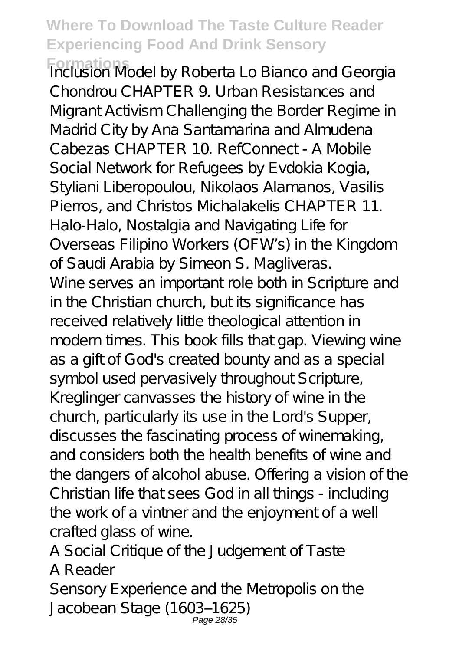**Formations** Inclusion Model by Roberta Lo Bianco and Georgia Chondrou CHAPTER 9. Urban Resistances and Migrant Activism Challenging the Border Regime in Madrid City by Ana Santamarina and Almudena Cabezas CHAPTER 10. RefConnect - A Mobile Social Network for Refugees by Evdokia Kogia, Styliani Liberopoulou, Nikolaos Alamanos, Vasilis Pierros, and Christos Michalakelis CHAPTER 11. Halo-Halo, Nostalgia and Navigating Life for Overseas Filipino Workers (OFW's) in the Kingdom of Saudi Arabia by Simeon S. Magliveras. Wine serves an important role both in Scripture and in the Christian church, but its significance has received relatively little theological attention in modern times. This book fills that gap. Viewing wine as a gift of God's created bounty and as a special symbol used pervasively throughout Scripture, Kreglinger canvasses the history of wine in the church, particularly its use in the Lord's Supper, discusses the fascinating process of winemaking, and considers both the health benefits of wine and the dangers of alcohol abuse. Offering a vision of the Christian life that sees God in all things - including the work of a vintner and the enjoyment of a well crafted glass of wine.

A Social Critique of the Judgement of Taste A Reader

Sensory Experience and the Metropolis on the Jacobean Stage (1603–1625) Page 28/35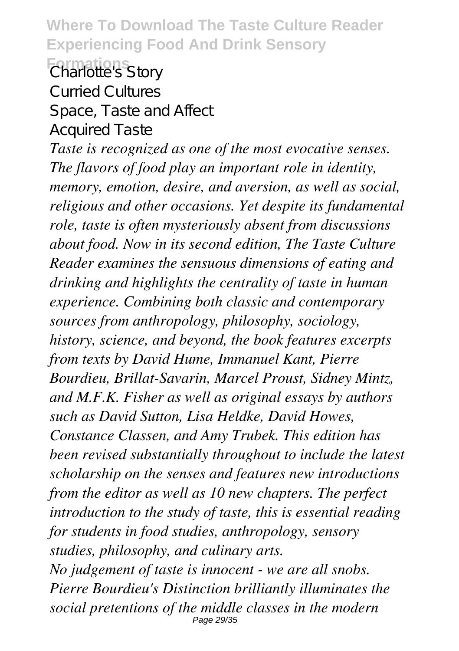**Where To Download The Taste Culture Reader Experiencing Food And Drink Sensory Formations** Charlotte's Story Curried Cultures

Space, Taste and Affect

Acquired Taste

*Taste is recognized as one of the most evocative senses. The flavors of food play an important role in identity, memory, emotion, desire, and aversion, as well as social, religious and other occasions. Yet despite its fundamental role, taste is often mysteriously absent from discussions about food. Now in its second edition, The Taste Culture Reader examines the sensuous dimensions of eating and drinking and highlights the centrality of taste in human experience. Combining both classic and contemporary sources from anthropology, philosophy, sociology, history, science, and beyond, the book features excerpts from texts by David Hume, Immanuel Kant, Pierre Bourdieu, Brillat-Savarin, Marcel Proust, Sidney Mintz, and M.F.K. Fisher as well as original essays by authors such as David Sutton, Lisa Heldke, David Howes, Constance Classen, and Amy Trubek. This edition has been revised substantially throughout to include the latest scholarship on the senses and features new introductions from the editor as well as 10 new chapters. The perfect introduction to the study of taste, this is essential reading for students in food studies, anthropology, sensory studies, philosophy, and culinary arts. No judgement of taste is innocent - we are all snobs.*

*Pierre Bourdieu's Distinction brilliantly illuminates the social pretentions of the middle classes in the modern* Page 29/35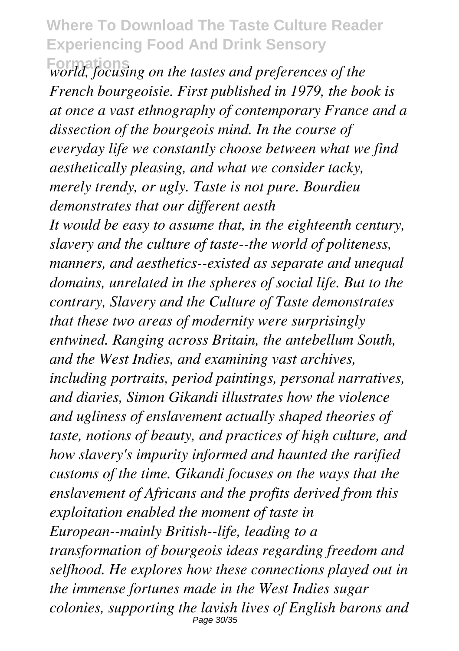**Formations** *world, focusing on the tastes and preferences of the French bourgeoisie. First published in 1979, the book is at once a vast ethnography of contemporary France and a dissection of the bourgeois mind. In the course of everyday life we constantly choose between what we find aesthetically pleasing, and what we consider tacky, merely trendy, or ugly. Taste is not pure. Bourdieu demonstrates that our different aesth It would be easy to assume that, in the eighteenth century, slavery and the culture of taste--the world of politeness, manners, and aesthetics--existed as separate and unequal domains, unrelated in the spheres of social life. But to the contrary, Slavery and the Culture of Taste demonstrates that these two areas of modernity were surprisingly entwined. Ranging across Britain, the antebellum South, and the West Indies, and examining vast archives, including portraits, period paintings, personal narratives, and diaries, Simon Gikandi illustrates how the violence and ugliness of enslavement actually shaped theories of taste, notions of beauty, and practices of high culture, and how slavery's impurity informed and haunted the rarified customs of the time. Gikandi focuses on the ways that the enslavement of Africans and the profits derived from this exploitation enabled the moment of taste in European--mainly British--life, leading to a transformation of bourgeois ideas regarding freedom and selfhood. He explores how these connections played out in the immense fortunes made in the West Indies sugar colonies, supporting the lavish lives of English barons and* Page 30/35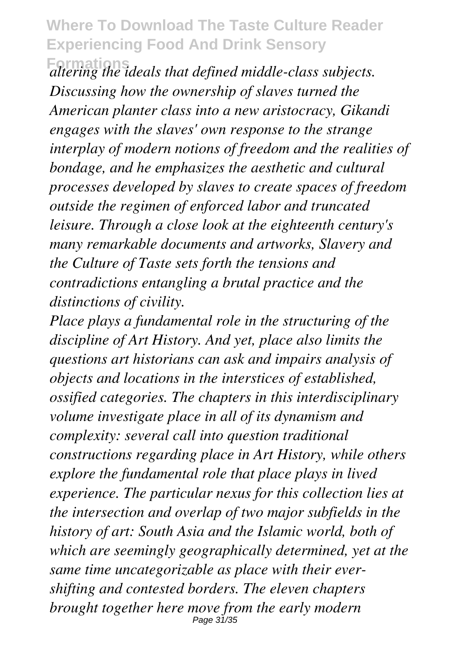**Formations** *altering the ideals that defined middle-class subjects. Discussing how the ownership of slaves turned the American planter class into a new aristocracy, Gikandi engages with the slaves' own response to the strange interplay of modern notions of freedom and the realities of bondage, and he emphasizes the aesthetic and cultural processes developed by slaves to create spaces of freedom outside the regimen of enforced labor and truncated leisure. Through a close look at the eighteenth century's many remarkable documents and artworks, Slavery and the Culture of Taste sets forth the tensions and contradictions entangling a brutal practice and the distinctions of civility.*

*Place plays a fundamental role in the structuring of the discipline of Art History. And yet, place also limits the questions art historians can ask and impairs analysis of objects and locations in the interstices of established, ossified categories. The chapters in this interdisciplinary volume investigate place in all of its dynamism and complexity: several call into question traditional constructions regarding place in Art History, while others explore the fundamental role that place plays in lived experience. The particular nexus for this collection lies at the intersection and overlap of two major subfields in the history of art: South Asia and the Islamic world, both of which are seemingly geographically determined, yet at the same time uncategorizable as place with their evershifting and contested borders. The eleven chapters brought together here move from the early modern* Page 31/35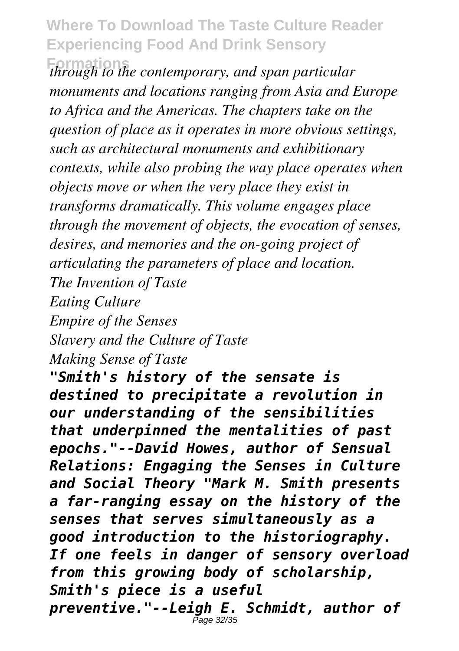**Formations** *through to the contemporary, and span particular monuments and locations ranging from Asia and Europe to Africa and the Americas. The chapters take on the question of place as it operates in more obvious settings, such as architectural monuments and exhibitionary contexts, while also probing the way place operates when objects move or when the very place they exist in transforms dramatically. This volume engages place through the movement of objects, the evocation of senses, desires, and memories and the on-going project of articulating the parameters of place and location. The Invention of Taste*

*Eating Culture*

*Empire of the Senses*

*Slavery and the Culture of Taste*

*Making Sense of Taste*

*"Smith's history of the sensate is destined to precipitate a revolution in our understanding of the sensibilities that underpinned the mentalities of past epochs."--David Howes, author of Sensual Relations: Engaging the Senses in Culture and Social Theory "Mark M. Smith presents a far-ranging essay on the history of the senses that serves simultaneously as a good introduction to the historiography. If one feels in danger of sensory overload from this growing body of scholarship, Smith's piece is a useful preventive."--Leigh E. Schmidt, author of* Page 32/35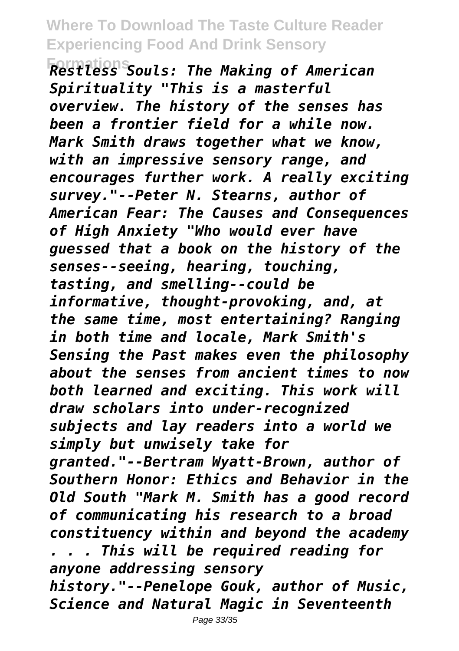**Formations** *Restless Souls: The Making of American Spirituality "This is a masterful overview. The history of the senses has been a frontier field for a while now. Mark Smith draws together what we know, with an impressive sensory range, and encourages further work. A really exciting survey."--Peter N. Stearns, author of American Fear: The Causes and Consequences of High Anxiety "Who would ever have guessed that a book on the history of the senses--seeing, hearing, touching, tasting, and smelling--could be informative, thought-provoking, and, at the same time, most entertaining? Ranging in both time and locale, Mark Smith's Sensing the Past makes even the philosophy about the senses from ancient times to now both learned and exciting. This work will draw scholars into under-recognized subjects and lay readers into a world we simply but unwisely take for granted."--Bertram Wyatt-Brown, author of Southern Honor: Ethics and Behavior in the Old South "Mark M. Smith has a good record of communicating his research to a broad constituency within and beyond the academy . . . This will be required reading for anyone addressing sensory history."--Penelope Gouk, author of Music, Science and Natural Magic in Seventeenth*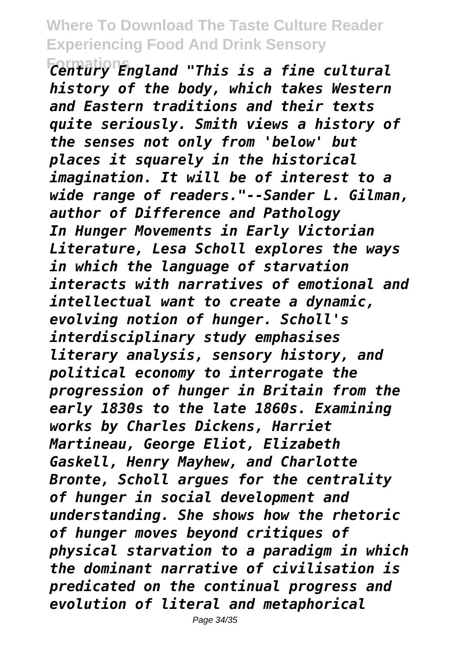**Formations** *Century England "This is a fine cultural history of the body, which takes Western and Eastern traditions and their texts quite seriously. Smith views a history of the senses not only from 'below' but places it squarely in the historical imagination. It will be of interest to a wide range of readers."--Sander L. Gilman, author of Difference and Pathology In Hunger Movements in Early Victorian Literature, Lesa Scholl explores the ways in which the language of starvation interacts with narratives of emotional and intellectual want to create a dynamic, evolving notion of hunger. Scholl's interdisciplinary study emphasises literary analysis, sensory history, and political economy to interrogate the progression of hunger in Britain from the early 1830s to the late 1860s. Examining works by Charles Dickens, Harriet Martineau, George Eliot, Elizabeth Gaskell, Henry Mayhew, and Charlotte Bronte, Scholl argues for the centrality of hunger in social development and understanding. She shows how the rhetoric of hunger moves beyond critiques of physical starvation to a paradigm in which the dominant narrative of civilisation is predicated on the continual progress and evolution of literal and metaphorical*